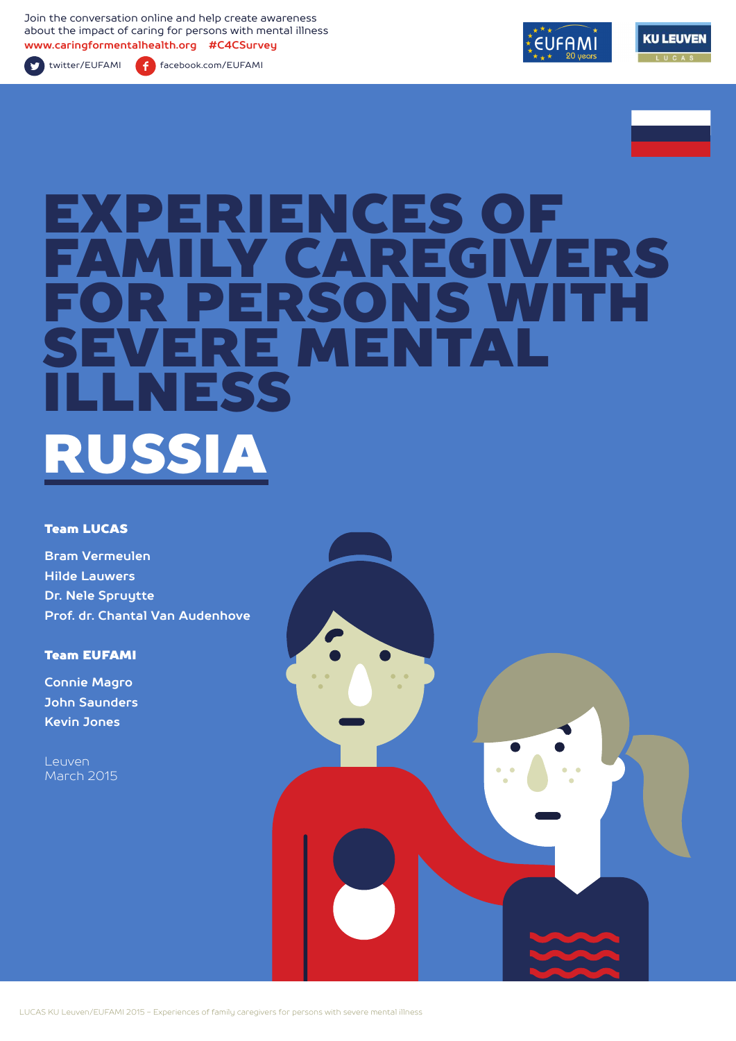Join the conversation online and help create awareness about the impact of caring for persons with mental illness **www.caringformentalhealth.org #C4CSurvey**

twitter/EUFAMI facebook.com/EUFAMI





# EXPERIENCES OF Y CAREGIVERS<br>FRSONS WITH ERSONS WITH<br>F MENTAL RE MENT ELSS RUSSIA

#### Team LUCAS

**Bram Vermeulen Hilde Lauwers Dr. Nele Spruytte Prof. dr. Chantal Van Audenhove**

Team EUFAMI

**Connie Magro John Saunders Kevin Jones**

Leuven March 2015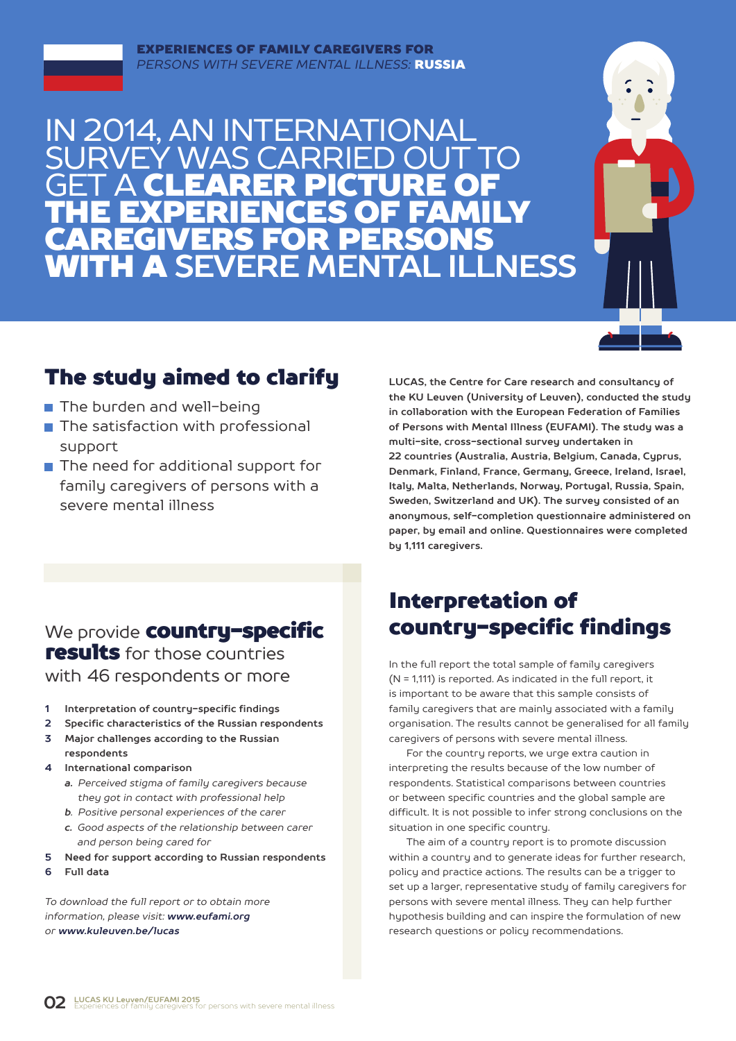## IN 2014, AN INTERNATIONAL MAS CARR **GET A CLEARER PICTURE OF** THE EXPERIENCES OF FAMILY CAREGIVERS FOR PERSONS WITH A **SEVERE MENTAL ILLNESS**



## The study aimed to clarify

- The burden and well-being
- $\blacksquare$  The satisfaction with professional support
- The need for additional support for family caregivers of persons with a severe mental illness

**LUCAS, the Centre for Care research and consultancy of the KU Leuven (University of Leuven), conducted the study in collaboration with the European Federation of Families of Persons with Mental Illness (EUFAMI). The study was a multi-site, cross-sectional survey undertaken in 22 countries (Australia, Austria, Belgium, Canada, Cyprus, Denmark, Finland, France, Germany, Greece, Ireland, Israel, Italy, Malta, Netherlands, Norway, Portugal, Russia, Spain, Sweden, Switzerland and UK). The survey consisted of an anonymous, self-completion questionnaire administered on paper, by email and online. Questionnaires were completed by 1,111 caregivers.** 

### We provide **country-specific** results for those countries with 46 respondents or more

- **1 Interpretation of country-specific findings**
- **2 Specific characteristics of the Russian respondents**
- **3 Major challenges according to the Russian respondents**
- **4 International comparison**
	- *a. Perceived stigma of family caregivers because they got in contact with professional help*
	- *b. Positive personal experiences of the carer*
	- *c. Good aspects of the relationship between carer and person being cared for*
- **5 Need for support according to Russian respondents**
- **6 Full data**

*To download the full report or to obtain more information, please visit: www.eufami.org or www.kuleuven.be/lucas*

## Interpretation of country-specific findings

In the full report the total sample of family caregivers (N = 1,111) is reported. As indicated in the full report, it is important to be aware that this sample consists of family caregivers that are mainly associated with a family organisation. The results cannot be generalised for all family caregivers of persons with severe mental illness.

For the country reports, we urge extra caution in interpreting the results because of the low number of respondents. Statistical comparisons between countries or between specific countries and the global sample are difficult. It is not possible to infer strong conclusions on the situation in one specific country.

The aim of a country report is to promote discussion within a country and to generate ideas for further research, policy and practice actions. The results can be a trigger to set up a larger, representative study of family caregivers for persons with severe mental illness. They can help further hypothesis building and can inspire the formulation of new research questions or policy recommendations.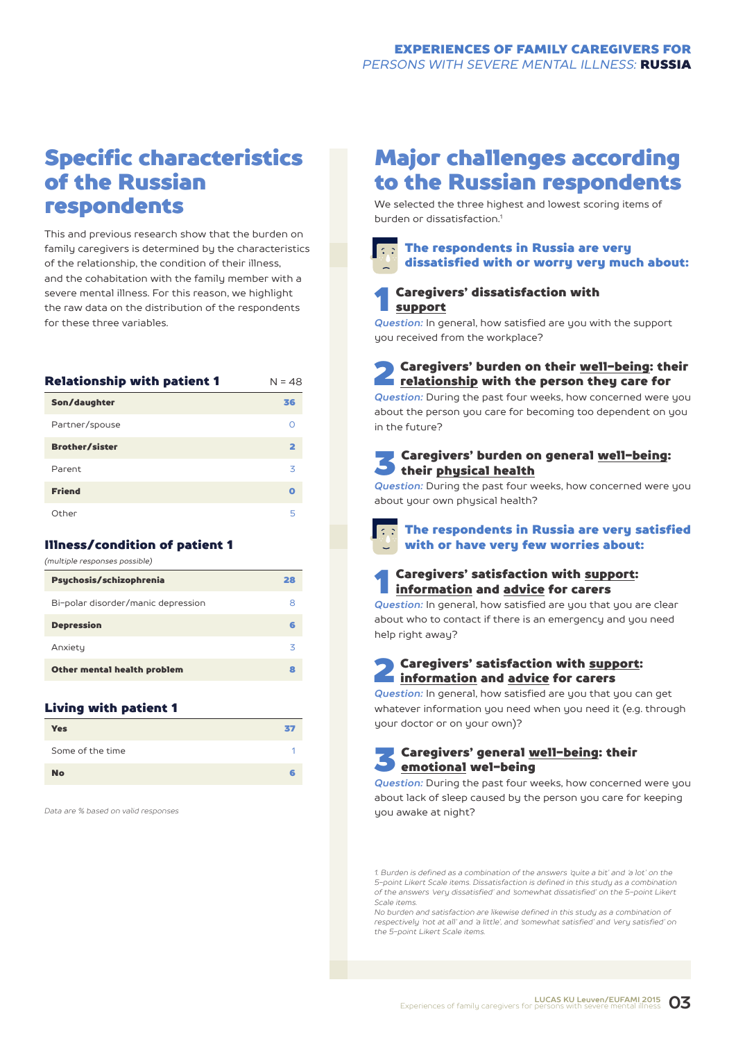## Specific characteristics of the Russian respondents

This and previous research show that the burden on family caregivers is determined by the characteristics of the relationship, the condition of their illness, and the cohabitation with the family member with a severe mental illness. For this reason, we highlight the raw data on the distribution of the respondents for these three variables.

| Relationship with patient 1 | $N = 48$ |
|-----------------------------|----------|
| Son/daughter                | 36       |
| Partner/spouse              | ∩        |
| <b>Brother/sister</b>       | 2        |
| Parent                      | 3        |
| <b>Friend</b>               | Ο        |
| Other                       | 5        |

#### Illness/condition of patient 1

| (multiple responses possible)      |    |
|------------------------------------|----|
| Psychosis/schizophrenia            | 28 |
| Bi-polar disorder/manic depression | 8  |
| <b>Depression</b>                  | 6  |
| Anxiety                            | 3  |
| Other mental health problem        | 8  |
|                                    |    |

#### Living with patient 1

| <b>Yes</b>       | kł. |
|------------------|-----|
| Some of the time |     |
| <b>No</b>        |     |

*Data are % based on valid responses*

## Major challenges according to the Russian respondents

We selected the three highest and lowest scoring items of burden or dissatisfaction<sup>1</sup>

#### The respondents in Russia are very dissatisfied with or worry very much about:



*Question:* In general, how satisfied are you with the support you received from the workplace?

## **2** Caregivers' burden on their <u>well-being</u>: their<br>relationship with the person they care for

*Question:* During the past four weeks, how concerned were you about the person you care for becoming too dependent on you in the future?

#### 3 Caregivers' burden on general well-being: their physical health

*Question:* During the past four weeks, how concerned were you about your own physical health?



#### Caregivers' satisfaction with support: information and advice for carers

**Question:** In general, how satisfied are you that you are clear about who to contact if there is an emergency and you need help right away?

## **2** Caregivers' satisfaction with support:<br>
<u>information</u> and <u>advice</u> for carers

**Question:** In general, how satisfied are you that you can get whatever information you need when you need it (e.g. through your doctor or on your own)?

#### 3 Caregivers' general well-being: their emotional wel-being

*Question:* During the past four weeks, how concerned were you about lack of sleep caused by the person you care for keeping you awake at night?

*1. Burden is defined as a combination of the answers 'quite a bit' and 'a lot' on the 5-point Likert Scale items. Dissatisfaction is defined in this study as a combination of the answers 'very dissatisfied' and 'somewhat dissatisfied' on the 5-point Likert Scale items.*

*No burden and satisfaction are likewise defined in this study as a combination of respectively 'not at all' and 'a little', and 'somewhat satisfied' and 'very satisfied' on the 5-point Likert Scale items.*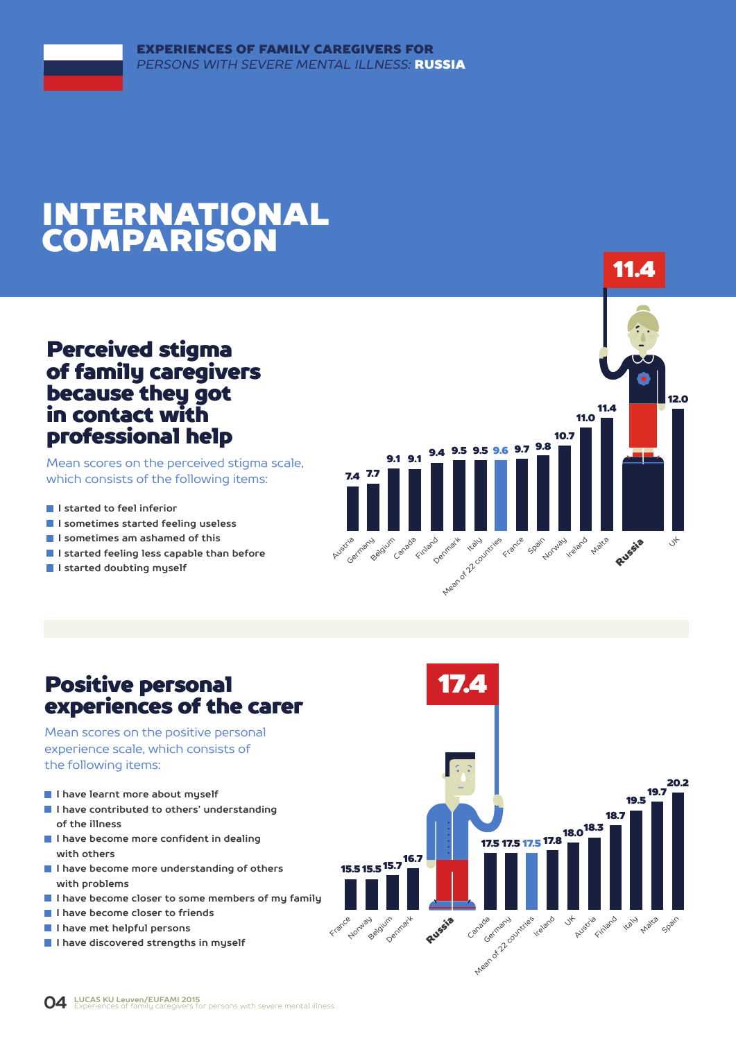## INTERNATIONAL COMPARISON

### Perceived stigma of family caregivers because they got in contact with professional help

Mean scores on the perceived stigma scale, which consists of the following items:

- **I** I started to feel inferior
- **I sometimes started feeling useless**
- **I sometimes am ashamed of this**
- **I started feeling less capable than before**
- **I started doubting myself**



### Positive personal experiences of the carer

Mean scores on the positive personal experience scale, which consists of the following items:

- **I have learnt more about myself**
- **I have contributed to others' understanding of the illness**
- **I have become more confident in dealing with others**
- **I have become more understanding of others with problems**
- **I have become closer to some members of my family**
- **I have become closer to friends**
- **I have met helpful persons**
- **I have discovered strengths in myself**

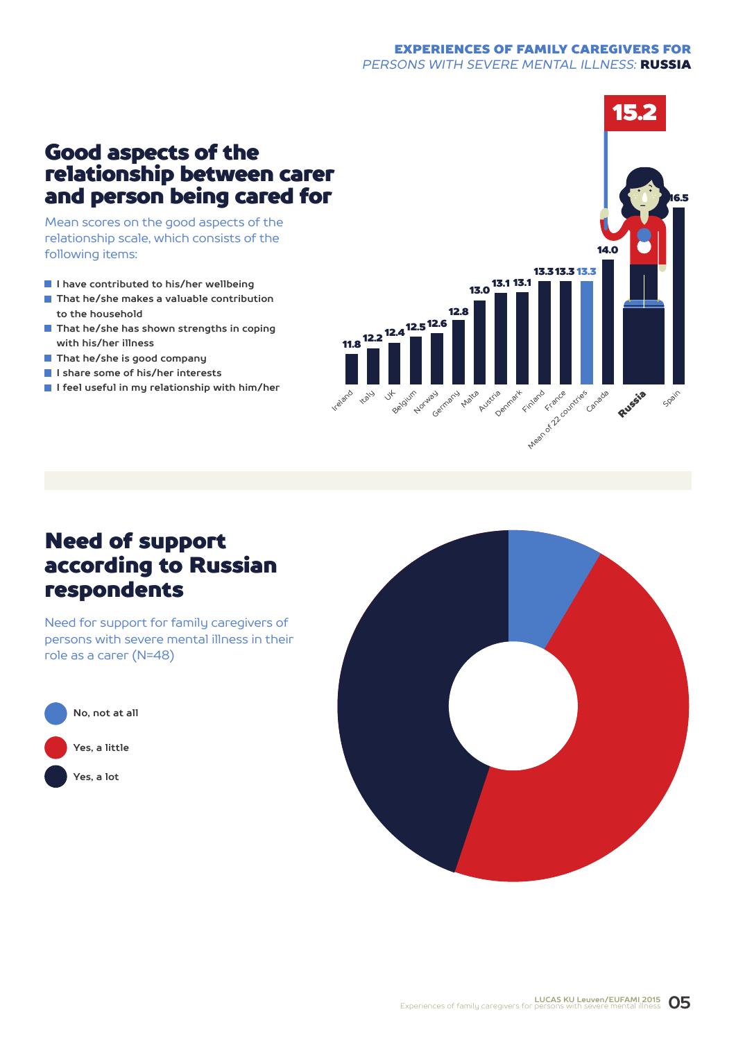#### EXPERIENCES OF FAMILY CAREGIVERS FOR *PERSONS WITH SEVERE MENTAL ILLNESS:* RUSSIA

### Good aspects of the relationship between carer and person being cared for

Mean scores on the good aspects of the relationship scale, which consists of the following items:

- **I have contributed to his/her wellbeing**
- **That he/she makes a valuable contribution to the household**
- **That he/she has shown strengths in coping with his/her illness**
- **That he/she is good company**
- **I share some of his/her interests**
- **I feel useful in my relationship with him/her**



## Need of support according to Russian respondents

Need for support for family caregivers of persons with severe mental illness in their role as a carer (N=48)



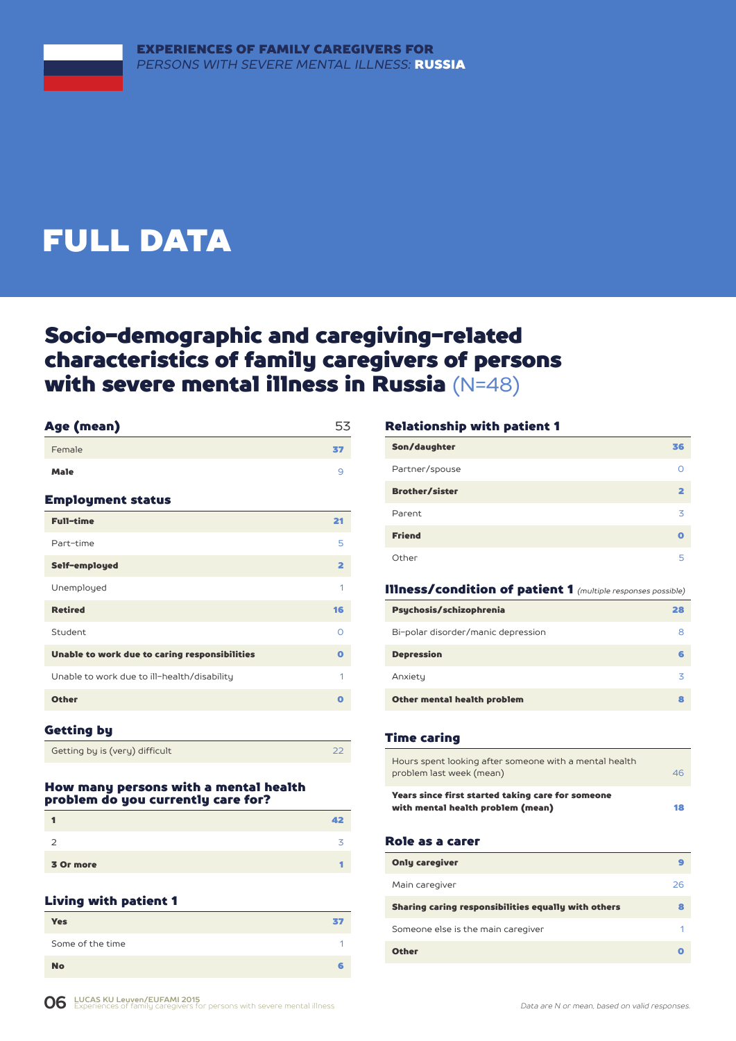## FULL DATA

## Socio-demographic and caregiving-related characteristics of family caregivers of persons with severe mental illness in Russia (N=48)

| Age (mean)                                    | 53                      |
|-----------------------------------------------|-------------------------|
| Female                                        | 37                      |
| <b>Male</b>                                   | 9                       |
| <b>Employment status</b>                      |                         |
| <b>Full-time</b>                              | 21                      |
| Part-time                                     | 5                       |
| Self-employed                                 | $\overline{\mathbf{2}}$ |
| Unemployed                                    | 1                       |
| <b>Retired</b>                                | 16                      |
| Student                                       | Ω                       |
| Unable to work due to caring responsibilities | $\mathbf o$             |
| Unable to work due to ill-health/disability   | 1                       |
| <b>Other</b>                                  | $\mathbf o$             |
|                                               |                         |

#### Getting by

Getting by is (very) difficult 22

#### How many persons with a mental health problem do you currently care for?

|           | 12. |
|-----------|-----|
|           |     |
| 3 Or more |     |

#### Living with patient 1

| <b>Yes</b>       | 37 |
|------------------|----|
| Some of the time |    |
| <b>No</b>        | ·  |

#### Relationship with patient 1

| Son/daughter          | 36 |
|-----------------------|----|
| Partner/spouse        |    |
| <b>Brother/sister</b> | כ  |
| Parent                | 3  |
| <b>Friend</b>         | Ω  |
| Other                 | 5  |

#### Illness/condition of patient 1 *(multiple responses possible)*

| Psychosis/schizophrenia            | 28 |
|------------------------------------|----|
| Bi-polar disorder/manic depression | 8  |
| <b>Depression</b>                  |    |
| Anxiety                            | 3  |
| Other mental health problem        |    |

#### Time caring

| Hours spent looking after someone with a mental health<br>problem last week (mean)     | 46 |
|----------------------------------------------------------------------------------------|----|
| Years since first started taking care for someone<br>with mental health problem (mean) | 18 |

#### Role as a carer

| <b>Only caregiver</b>                               |    |
|-----------------------------------------------------|----|
| Main caregiver                                      | 26 |
| Sharing caring responsibilities equally with others | 8  |
| Someone else is the main caregiver                  |    |
| <b>Other</b>                                        |    |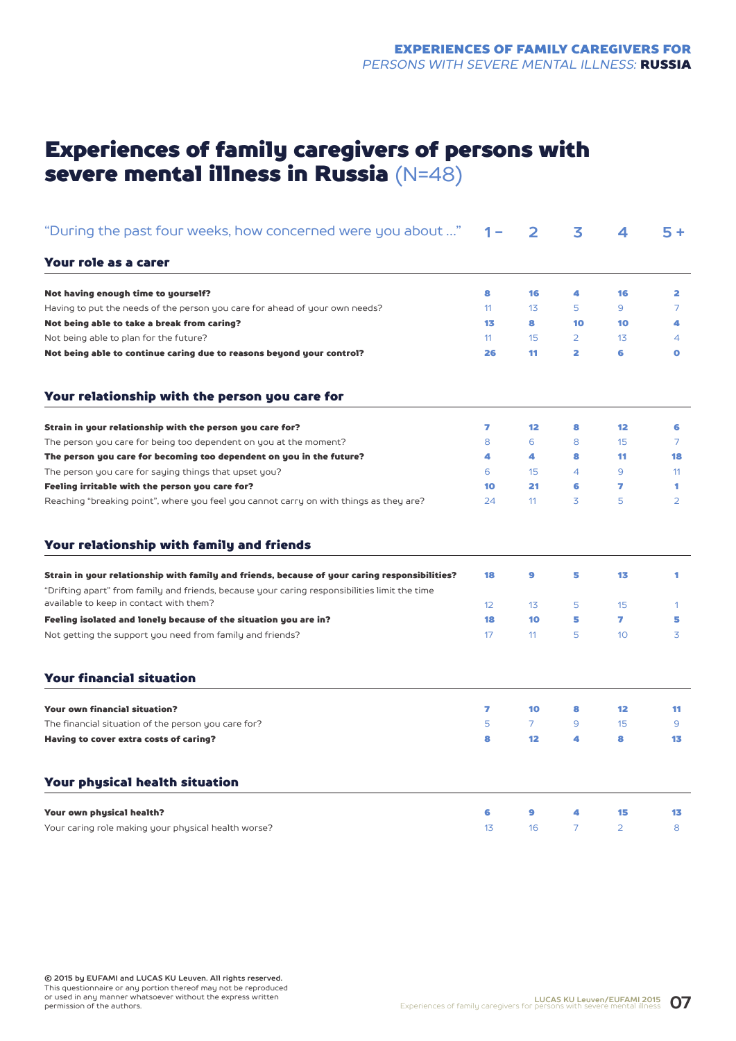## Experiences of family caregivers of persons with severe mental illness in Russia (N=48)

| "During the past four weeks, how concerned were you about "                                                                                                                                                                               | 1 –             | 2                                           | 3              | 4              | $5+$           |
|-------------------------------------------------------------------------------------------------------------------------------------------------------------------------------------------------------------------------------------------|-----------------|---------------------------------------------|----------------|----------------|----------------|
| Your role as a carer                                                                                                                                                                                                                      |                 |                                             |                |                |                |
| Not having enough time to yourself?                                                                                                                                                                                                       | 8               | 16                                          | 4              | 16             | 2              |
| Having to put the needs of the person you care for ahead of your own needs?                                                                                                                                                               | 11              | 13                                          | 5              | 9              | $\overline{7}$ |
| Not being able to take a break from caring?                                                                                                                                                                                               | 13              | 8                                           | 10             | 10             | 4              |
| Not being able to plan for the future?                                                                                                                                                                                                    | 11              | 15                                          | 2              | 13             | 4              |
| Not being able to continue caring due to reasons beyond your control?                                                                                                                                                                     | 26              | 11                                          | 2              | 6              | $\bullet$      |
| Your relationship with the person you care for                                                                                                                                                                                            |                 |                                             |                |                |                |
| Strain in your relationship with the person you care for?                                                                                                                                                                                 | 7               | 12                                          | 8              | 12             | 6              |
| The person you care for being too dependent on you at the moment?                                                                                                                                                                         | 8               | 6                                           | 8              | 15             | 7              |
| The person you care for becoming too dependent on you in the future?                                                                                                                                                                      | 4               | 4                                           | 8              | 11             | 18             |
| The person you care for saying things that upset you?                                                                                                                                                                                     | 6               | 15                                          | 4              | 9              | 11             |
| Feeling irritable with the person you care for?                                                                                                                                                                                           | 10              | 21                                          | 6              | 7              | 1              |
| Reaching "breaking point", where you feel you cannot carry on with things as they are?                                                                                                                                                    | 24              | 11                                          | 3              | 5              | $\overline{2}$ |
| Your relationship with family and friends                                                                                                                                                                                                 |                 |                                             |                |                |                |
| Strain in your relationship with family and friends, because of your caring responsibilities?<br>"Drifting apart" from family and friends, because your caring responsibilities limit the time<br>available to keep in contact with them? | 18              | 9                                           | 5              | 13             | 1              |
|                                                                                                                                                                                                                                           | 12 <sup>2</sup> |                                             | 5              | 15             | 1              |
| Feeling isolated and lonely because of the situation you are in?<br>Not getting the support you need from family and friends?                                                                                                             | 18<br>17        | 11                                          | 5<br>5         | 7<br>10        | 5<br>3         |
| <b>Your financial situation</b>                                                                                                                                                                                                           |                 | 13<br>10<br>10<br>$\overline{7}$<br>12<br>9 |                |                |                |
| <b>Your own financial situation?</b>                                                                                                                                                                                                      | 7               |                                             | 8              | 12             | 11             |
| The financial situation of the person you care for?                                                                                                                                                                                       | 5               |                                             | 9              | 15             | 9              |
| Having to cover extra costs of caring?                                                                                                                                                                                                    | 8               |                                             | 4              | 8              | 13             |
| Your physical health situation                                                                                                                                                                                                            |                 |                                             |                |                |                |
| Your own physical health?                                                                                                                                                                                                                 | 6               |                                             | 4              | 15             | 13             |
| Your caring role making your physical health worse?                                                                                                                                                                                       | 1 <sub>3</sub>  | 16                                          | $\overline{7}$ | $\overline{2}$ | 8              |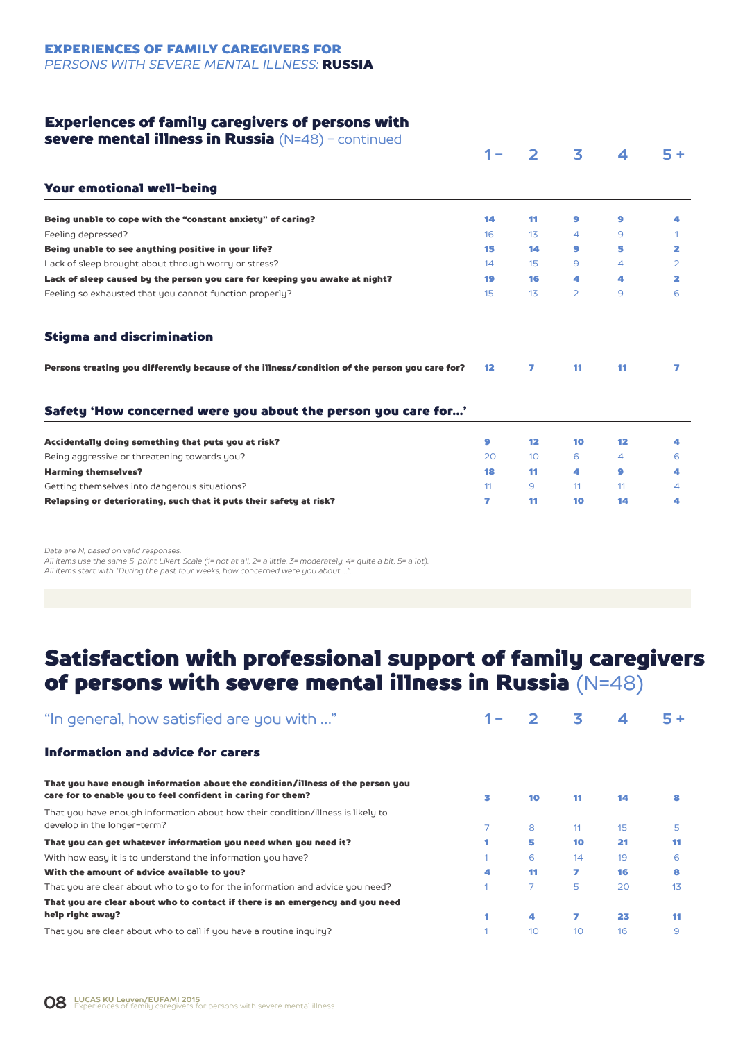EXPERIENCES OF FAMILY CAREGIVERS FOR *PERSONS WITH SEVERE MENTAL ILLNESS:* RUSSIA

#### Experiences of family caregivers of persons with

| severe mental illness in Russia $(N=48)$ – continued                                          |                 |                 |                |                  |                |
|-----------------------------------------------------------------------------------------------|-----------------|-----------------|----------------|------------------|----------------|
|                                                                                               | 1 –             |                 | 3              | $\boldsymbol{A}$ | $5+$           |
| Your emotional well-being                                                                     |                 |                 |                |                  |                |
| Being unable to cope with the "constant anxiety" of caring?                                   | 14              | 11              | 9              | 9                | 4              |
| Feeling depressed?                                                                            | 16              | 13              | 4              | 9                |                |
| Being unable to see anything positive in your life?                                           | 15              | 14              | 9              | 5                | 2              |
| Lack of sleep brought about through worry or stress?                                          | 14              | 15              | 9              | $\overline{A}$   | $\overline{2}$ |
| Lack of sleep caused by the person you care for keeping you awake at night?                   | 19              | 16              | 4              | А                | 2              |
| Feeling so exhausted that you cannot function properly?                                       | 15              | 13              | $\overline{2}$ | 9                | 6              |
| <b>Stigma and discrimination</b>                                                              |                 |                 |                |                  |                |
| Persons treating you differently because of the illness/condition of the person you care for? | 12 <sub>1</sub> | 7               | 11             | 11               | 7              |
| Safety 'How concerned were you about the person you care for'                                 |                 |                 |                |                  |                |
| Accidentally doing something that puts you at risk?                                           | 9               | 12              | 10             | 12               | 4              |
| Being aggressive or threatening towards you?                                                  | 20              | 10 <sup>°</sup> | 6              | $\overline{4}$   | 6              |
| <b>Harming themselves?</b>                                                                    | 18              | 11              | 4              | 9                | 4              |
| Getting themselves into dangerous situations?                                                 | 11 <sup>1</sup> | 9               | 11             | 11               | 4              |
| Relapsing or deteriorating, such that it puts their safety at risk?                           | 7               | 11              | 10             | 14               | 4              |
|                                                                                               |                 |                 |                |                  |                |

*Data are N, based on valid responses.*

*All items use the same 5-point Likert Scale (1= not at all, 2= a little, 3= moderately, 4= quite a bit, 5= a lot). All items start with "During the past four weeks, how concerned were you about …".*

## Satisfaction with professional support of family caregivers of persons with severe mental illness in Russia (N=48)

| "In general, how satisfied are you with "                                                                                                      |   |                | 3               |    | 5+ |
|------------------------------------------------------------------------------------------------------------------------------------------------|---|----------------|-----------------|----|----|
| Information and advice for carers                                                                                                              |   |                |                 |    |    |
| That you have enough information about the condition/illness of the person you<br>care for to enable you to feel confident in caring for them? | 3 | 10             | 11              | 14 |    |
| That you have enough information about how their condition/illness is likely to<br>develop in the longer-term?                                 |   | 8              | 11              | 15 | 5  |
| That you can get whatever information you need when you need it?                                                                               |   | 5              | 10              | 21 | 11 |
| With how easy it is to understand the information you have?                                                                                    |   | 6              | 14              | 19 | 6  |
| With the amount of advice available to you?                                                                                                    | 4 | 11             | 7               | 16 |    |
| That you are clear about who to go to for the information and advice you need?                                                                 |   | $\overline{7}$ | 5               | 20 | 13 |
| That you are clear about who to contact if there is an emergency and you need                                                                  |   |                |                 |    |    |
| help right away?                                                                                                                               |   | 4              | 7               | 23 | 11 |
| That you are clear about who to call if you have a routine inquiry?                                                                            |   | 10             | 10 <sup>°</sup> | 16 | 9  |